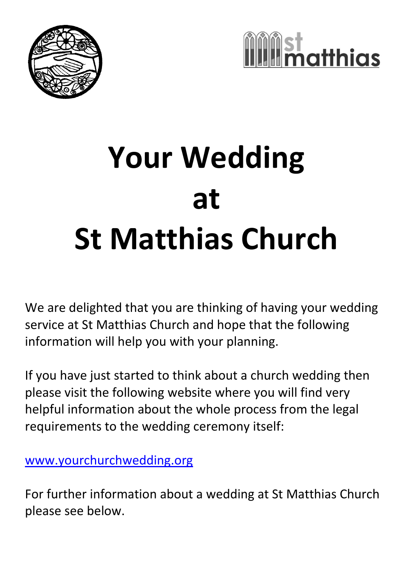



# **Your Wedding at St Matthias Church**

We are delighted that you are thinking of having your wedding service at St Matthias Church and hope that the following information will help you with your planning.

If you have just started to think about a church wedding then please visit the following website where you will find very helpful information about the whole process from the legal requirements to the wedding ceremony itself:

[www.yourchurchwedding.org](http://www.yourchurchwedding.org/)

For further information about a wedding at St Matthias Church please see below.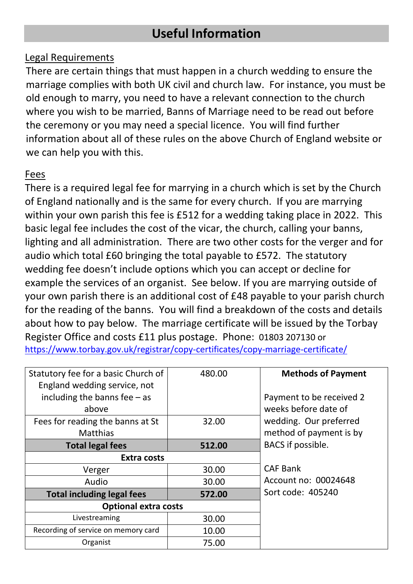# **Useful Information**

#### Legal Requirements

There are certain things that must happen in a church wedding to ensure the marriage complies with both UK civil and church law. For instance, you must be old enough to marry, you need to have a relevant connection to the church where you wish to be married, Banns of Marriage need to be read out before the ceremony or you may need a special licence. You will find further information about all of these rules on the above Church of England website or we can help you with this.

#### Fees

There is a required legal fee for marrying in a church which is set by the Church of England nationally and is the same for every church. If you are marrying within your own parish this fee is £512 for a wedding taking place in 2022. This basic legal fee includes the cost of the vicar, the church, calling your banns, lighting and all administration. There are two other costs for the verger and for audio which total £60 bringing the total payable to £572. The statutory wedding fee doesn't include options which you can accept or decline for example the services of an organist. See below. If you are marrying outside of your own parish there is an additional cost of £48 payable to your parish church for the reading of the banns. You will find a breakdown of the costs and details about how to pay below. The marriage certificate will be issued by the Torbay Register Office and costs £11 plus postage. Phone: 01803 207130 or <https://www.torbay.gov.uk/registrar/copy-certificates/copy-marriage-certificate/>

| Statutory fee for a basic Church of<br>England wedding service, not | 480.00 | <b>Methods of Payment</b>                         |
|---------------------------------------------------------------------|--------|---------------------------------------------------|
| including the banns fee $-$ as<br>above                             |        | Payment to be received 2<br>weeks before date of  |
| Fees for reading the banns at St<br><b>Matthias</b>                 | 32.00  | wedding. Our preferred<br>method of payment is by |
| <b>Total legal fees</b>                                             | 512.00 | BACS if possible.                                 |
| <b>Extra costs</b>                                                  |        |                                                   |
| Verger                                                              | 30.00  | <b>CAF Bank</b>                                   |
| Audio                                                               | 30.00  | Account no: 00024648                              |
| <b>Total including legal fees</b>                                   | 572.00 | Sort code: 405240                                 |
| <b>Optional extra costs</b>                                         |        |                                                   |
| Livestreaming                                                       | 30.00  |                                                   |
| Recording of service on memory card                                 | 10.00  |                                                   |
| Organist                                                            | 75.00  |                                                   |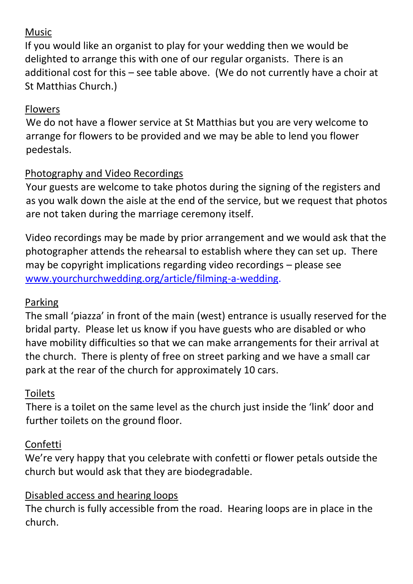# Music

If you would like an organist to play for your wedding then we would be delighted to arrange this with one of our regular organists. There is an additional cost for this – see table above. (We do not currently have a choir at St Matthias Church.)

# Flowers

We do not have a flower service at St Matthias but you are very welcome to arrange for flowers to be provided and we may be able to lend you flower pedestals.

# Photography and Video Recordings

Your guests are welcome to take photos during the signing of the registers and as you walk down the aisle at the end of the service, but we request that photos are not taken during the marriage ceremony itself.

Video recordings may be made by prior arrangement and we would ask that the photographer attends the rehearsal to establish where they can set up. There may be copyright implications regarding video recordings – please see [www.yourchurchwedding.org/article/filming-a-wedding.](http://www.yourchurchwedding.org/article/filming-a-wedding)

# Parking

The small 'piazza' in front of the main (west) entrance is usually reserved for the bridal party. Please let us know if you have guests who are disabled or who have mobility difficulties so that we can make arrangements for their arrival at the church. There is plenty of free on street parking and we have a small car park at the rear of the church for approximately 10 cars.

# Toilets

There is a toilet on the same level as the church just inside the 'link' door and further toilets on the ground floor.

# Confetti

We're very happy that you celebrate with confetti or flower petals outside the church but would ask that they are biodegradable.

# Disabled access and hearing loops

The church is fully accessible from the road. Hearing loops are in place in the church.